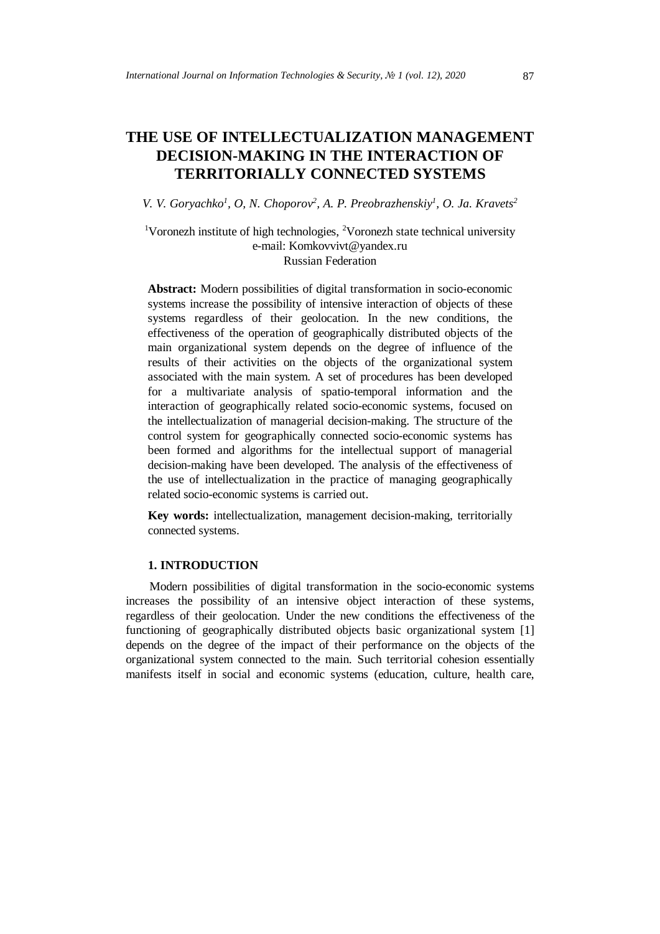# **THE USE OF INTELLECTUALIZATION MANAGEMENT DECISION-MAKING IN THE INTERACTION OF TERRITORIALLY CONNECTED SYSTEMS**

*V. V. Goryachko1 , O, N. Choporov2 , A. P. Preobrazhenskiy1 , O. Ja. Kravets2*

<sup>1</sup>Voronezh institute of high technologies, <sup>2</sup>Voronezh state technical university e-mail: Komkovvivt@yandex.ru Russian Federation

**Abstract:** Modern possibilities of digital transformation in socio-economic systems increase the possibility of intensive interaction of objects of these systems regardless of their geolocation. In the new conditions, the effectiveness of the operation of geographically distributed objects of the main organizational system depends on the degree of influence of the results of their activities on the objects of the organizational system associated with the main system. A set of procedures has been developed for a multivariate analysis of spatio-temporal information and the interaction of geographically related socio-economic systems, focused on the intellectualization of managerial decision-making. The structure of the control system for geographically connected socio-economic systems has been formed and algorithms for the intellectual support of managerial decision-making have been developed. The analysis of the effectiveness of the use of intellectualization in the practice of managing geographically related socio-economic systems is carried out.

**Key words:** intellectualization, management decision-making, territorially connected systems.

### **1. INTRODUCTION**

Modern possibilities of digital transformation in the socio-economic systems increases the possibility of an intensive object interaction of these systems, regardless of their geolocation. Under the new conditions the effectiveness of the functioning of geographically distributed objects basic organizational system [1] depends on the degree of the impact of their performance on the objects of the organizational system connected to the main. Such territorial cohesion essentially manifests itself in social and economic systems (education, culture, health care,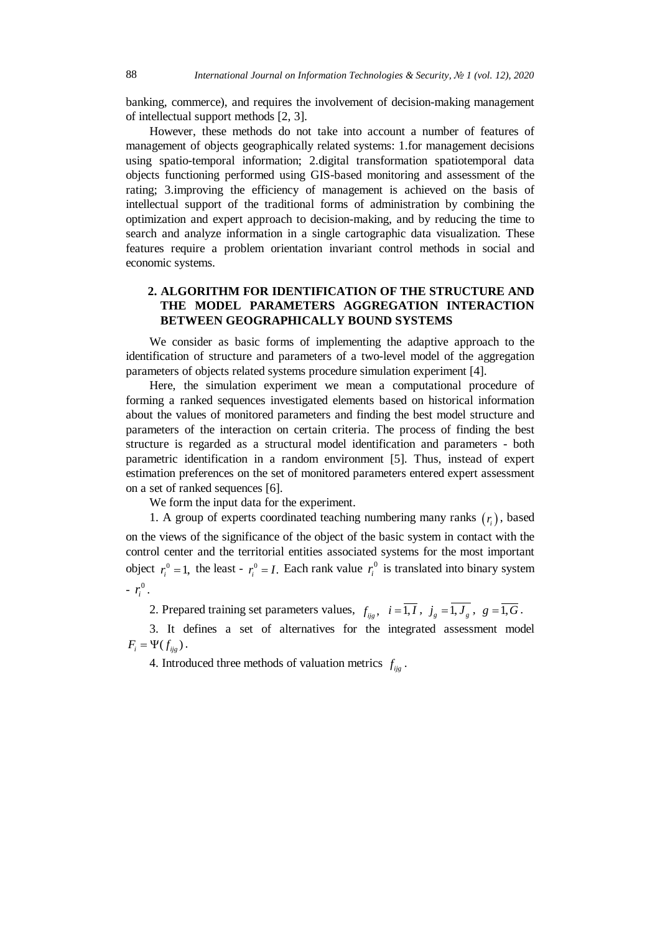banking, commerce), and requires the involvement of decision-making management of intellectual support methods [2, 3].

However, these methods do not take into account a number of features of management of objects geographically related systems: 1.for management decisions using spatio-temporal information; 2.digital transformation spatiotemporal data objects functioning performed using GIS-based monitoring and assessment of the rating; 3.improving the efficiency of management is achieved on the basis of intellectual support of the traditional forms of administration by combining the optimization and expert approach to decision-making, and by reducing the time to search and analyze information in a single cartographic data visualization. These features require a problem orientation invariant control methods in social and economic systems.

## **2. ALGORITHM FOR IDENTIFICATION OF THE STRUCTURE AND THE MODEL PARAMETERS AGGREGATION INTERACTION BETWEEN GEOGRAPHICALLY BOUND SYSTEMS**

We consider as basic forms of implementing the adaptive approach to the identification of structure and parameters of a two-level model of the aggregation parameters of objects related systems procedure simulation experiment [4].

Here, the simulation experiment we mean a computational procedure of forming a ranked sequences investigated elements based on historical information about the values of monitored parameters and finding the best model structure and parameters of the interaction on certain criteria. The process of finding the best structure is regarded as a structural model identification and parameters - both parametric identification in a random environment [5]. Thus, instead of expert estimation preferences on the set of monitored parameters entered expert assessment on a set of ranked sequences [6].

We form the input data for the experiment.

1. A group of experts coordinated teaching numbering many ranks  $(r<sub>i</sub>)$ , based on the views of the significance of the object of the basic system in contact with the control center and the territorial entities associated systems for the most important object  $r_i^0 = 1$ , the least -  $r_i^0 = I$ . Each rank value  $r_i^0$  is translated into binary system  $-r_i^0$ .

2. Prepared training set parameters values,  $f_{\text{rig}}$ ,  $i = \overline{1, I}$ ,  $j_{\text{g}} = \overline{1, J_{\text{g}}}$ ,  $g = \overline{1, G}$ .

3. It defines a set of alternatives for the integrated assessment model  $F_i = \Psi(f_{ijg})$ .

4. Introduced three methods of valuation metrics  $f_{ij}$ .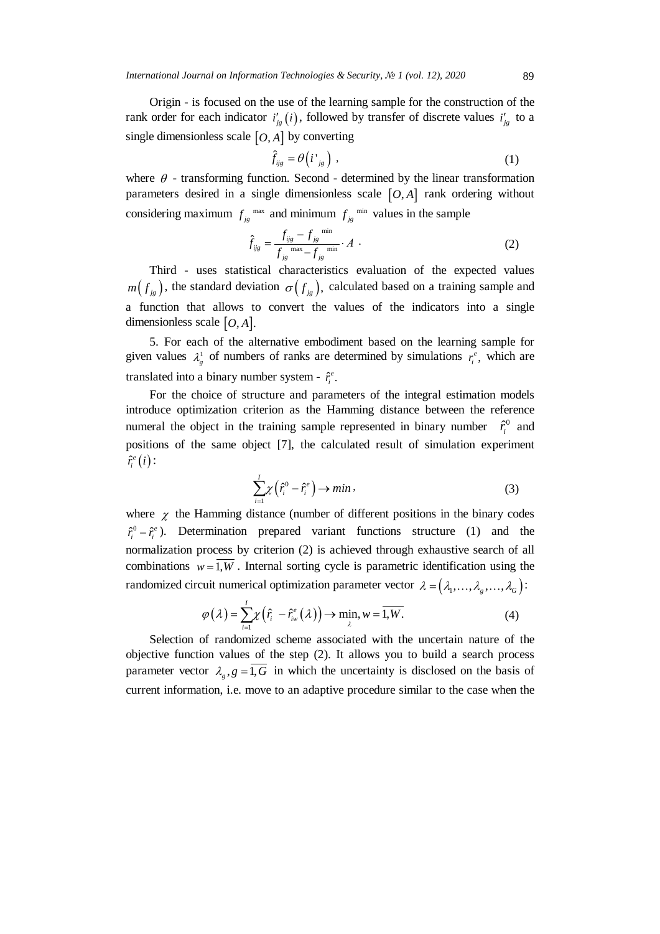Origin - is focused on the use of the learning sample for the construction of the rank order for each indicator  $i'_{jg}(i)$ , followed by transfer of discrete values  $i'_{jg}$  to a single dimensionless scale  $[O, A]$  by converting

$$
\hat{f}_{ijg} = \theta \left( i^{\prime}_{\phantom{ij}jg} \right) , \qquad (1)
$$

where  $\theta$  - transforming function. Second - determined by the linear transformation parameters desired in a single dimensionless scale  $[O, A]$  rank ordering without considering maximum  $f_{jg}^{max}$  and minimum  $f_{jg}^{min}$  values in the sample

$$
\hat{f}_{ijg} = \frac{f_{ijg} - f_{jg}^{\text{min}}}{f_{jg}^{\text{max}} - f_{jg}^{\text{min}}} \cdot A \tag{2}
$$

Third - uses statistical characteristics evaluation of the expected values  $m(f_{i\theta})$ , the standard deviation  $\sigma(f_{i\theta})$ , calculated based on a training sample and a function that allows to convert the values of the indicators into a single dimensionless scale  $[*O*, *A*]$ .

5. For each of the alternative embodiment based on the learning sample for given values  $\lambda_g^1$  of numbers of ranks are determined by simulations  $r_i^e$ , which are translated into a binary number system -  $\hat{r}_i^e$ .

For the choice of structure and parameters of the integral estimation models introduce optimization criterion as the Hamming distance between the reference numeral the object in the training sample represented in binary number  $\hat{r}_i^0$  and positions of the same object [7], the calculated result of simulation experiment  $\hat{r}^e_i(i)$  :

$$
\sum_{i=1}^{I} \chi\left(\hat{r}_i^0 - \hat{r}_i^e\right) \to \min\,,\tag{3}
$$

where  $\chi$  the Hamming distance (number of different positions in the binary codes  $\hat{r}_i^0 - \hat{r}_i^e$ ). Determination prepared variant functions structure (1) and the normalization process by criterion (2) is achieved through exhaustive search of all combinations  $w = \overline{1, W}$ . Internal sorting cycle is parametric identification using the randomized circuit numerical optimization parameter vector  $\lambda = (\lambda_1, \ldots, \lambda_g, \ldots, \lambda_G)$ :

$$
\varphi(\lambda) = \sum_{i=1}^{I} \chi\left(\hat{r}_i - \hat{r}_{iw}^e(\lambda)\right) \to \min_{\lambda} w = \overline{1, W}.
$$
 (4)

Selection of randomized scheme associated with the uncertain nature of the objective function values of the step (2). It allows you to build a search process parameter vector  $\lambda_{\rho}$ ,  $g = \overline{1, G}$  in which the uncertainty is disclosed on the basis of current information, i.e. move to an adaptive procedure similar to the case when the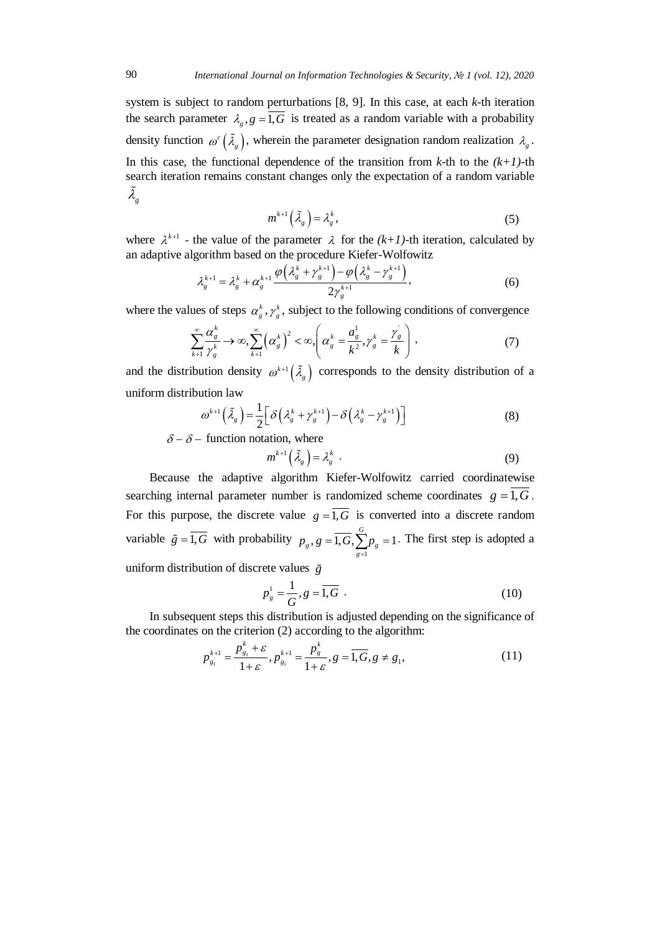system is subject to random perturbations [8, 9]. In this case, at each *k*-th iteration the search parameter  $\lambda_{a}$ ,  $g = \overline{1, G}$  is treated as a random variable with a probability density function  $\omega^c \left( \tilde{\lambda}_g \right)$ , wherein the parameter designation random realization  $\lambda_g$ . In this case, the functional dependence of the transition from  $k$ -th to the  $(k+1)$ -th search iteration remains constant changes only the expectation of a random variable  $\tilde{\lambda}_g$ 

$$
m^{k+1}(\tilde{\lambda}_g) = \lambda_g^k, \tag{5}
$$

where  $\lambda^{k+1}$  - the value of the parameter  $\lambda$  for the  $(k+1)$ -th iteration, calculated by an adaptive algorithm based on the procedure Kiefer-Wolfowitz

$$
\lambda_g^{k+1} = \lambda_g^k + \alpha_g^{k+1} \frac{\varphi\left(\lambda_g^k + \gamma_g^{k+1}\right) - \varphi\left(\lambda_g^k - \gamma_g^{k+1}\right)}{2\gamma_g^{k+1}},\tag{6}
$$

where the values of steps  $\alpha_g^k$ ,  $\gamma_g^k$ , subject to the following conditions of convergence

$$
\sum_{k=1}^{\infty} \frac{\alpha_s^k}{\gamma_s^k} \to \infty, \sum_{k=1}^{\infty} \left(\alpha_s^k\right)^2 < \infty, \left(\alpha_s^k = \frac{a_s^1}{k^2}, \gamma_s^k = \frac{\gamma_s^k}{k}\right), \tag{7}
$$

and the distribution density  $\omega^{k+1}(\tilde{\lambda}_g)$  corresponds to the density distribution of a uniform distribution law

$$
\omega^{k+1}\left(\tilde{\lambda}_g\right) = \frac{1}{2} \left[ \delta \left( \lambda_g^k + \gamma_g^{k+1} \right) - \delta \left( \lambda_g^k - \gamma_g^{k+1} \right) \right] \tag{8}
$$

 $\delta - \delta$  – function notation, where

$$
m^{k+1}(\tilde{\lambda}_g) = \lambda_g^k \tag{9}
$$

Because the adaptive algorithm Kiefer-Wolfowitz carried coordinatewise searching internal parameter number is randomized scheme coordinates  $g = \overline{1, G}$ . For this purpose, the discrete value  $g = \overline{1, G}$  is converted into a discrete random variable  $\tilde{g} = 1, G$  with probability 1  $, g = \overline{1, G}, \sum_{p}^{G} p$ <sub>e</sub> = 1  $g, \delta = 1, \mathcal{O}, \mathcal{L}_{g=1}^P g$  $p_g$ ,  $g = 1, G, \sum p$  $=\overline{1, G}, \sum_{g=1}^{\infty} p_g = 1$ . The first step is adopted a

uniform distribution of discrete values *g*

$$
p_s^1 = \frac{1}{G}, g = \overline{1, G} \tag{10}
$$

In subsequent steps this distribution is adjusted depending on the significance of the coordinates on the criterion (2) according to the algorithm:

$$
p_{g_1}^{k+1} = \frac{p_{g_1}^k + \varepsilon}{1 + \varepsilon}, p_{g_1}^{k+1} = \frac{p_g^k}{1 + \varepsilon}, g = \overline{1, G}, g \neq g_1,
$$
\n(11)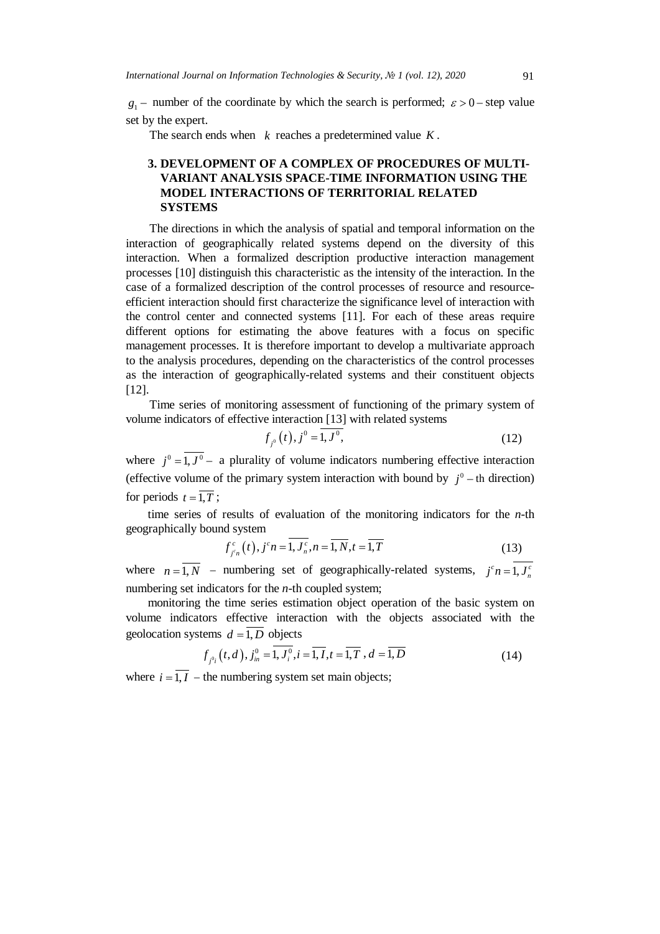$g_1$  − number of the coordinate by which the search is performed;  $\varepsilon > 0$  – step value set by the expert.

The search ends when *k* reaches a predetermined value *K* .

# **3. DEVELOPMENT OF A COMPLEX OF PROCEDURES OF MULTI-VARIANT ANALYSIS SPACE-TIME INFORMATION USING THE MODEL INTERACTIONS OF TERRITORIAL RELATED SYSTEMS**

The directions in which the analysis of spatial and temporal information on the interaction of geographically related systems depend on the diversity of this interaction. When a formalized description productive interaction management processes [10] distinguish this characteristic as the intensity of the interaction. In the case of a formalized description of the control processes of resource and resourceefficient interaction should first characterize the significance level of interaction with the control center and connected systems [11]. For each of these areas require different options for estimating the above features with a focus on specific management processes. It is therefore important to develop a multivariate approach to the analysis procedures, depending on the characteristics of the control processes as the interaction of geographically-related systems and their constituent objects [12].

Time series of monitoring assessment of functioning of the primary system of volume indicators of effective interaction [13] with related systems

$$
f_{j^0}(t), j^0 = 1, J^0,
$$
\n(12)

where  $j^0 = \overline{1, J^0}$  – a plurality of volume indicators numbering effective interaction (effective volume of the primary system interaction with bound by  $j^0$  – th direction) for periods  $t = \overline{1, T}$ ;

time series of results of evaluation of the monitoring indicators for the *n*-th geographically bound system

$$
f_{j^c n}^c(t), j^c n = \overline{1, J_n^c}, n = \overline{1, N}, t = \overline{1, T}
$$
 (13)

where  $n = 1, N$  – numbering set of geographically-related systems,  $j^c n = 1, J_n^c$ numbering set indicators for the *n*-th coupled system;

monitoring the time series estimation object operation of the basic system on volume indicators effective interaction with the objects associated with the geolocation systems  $d = \overline{1, D}$  objects

$$
f_{j^{0}i}(t,d), j^{0}_{in} = \overline{1, J^{0}_{i}}, i = \overline{1, I}, t = \overline{1, T}, d = \overline{1, D}
$$
 (14)

where  $i = \overline{1, I}$  – the numbering system set main objects;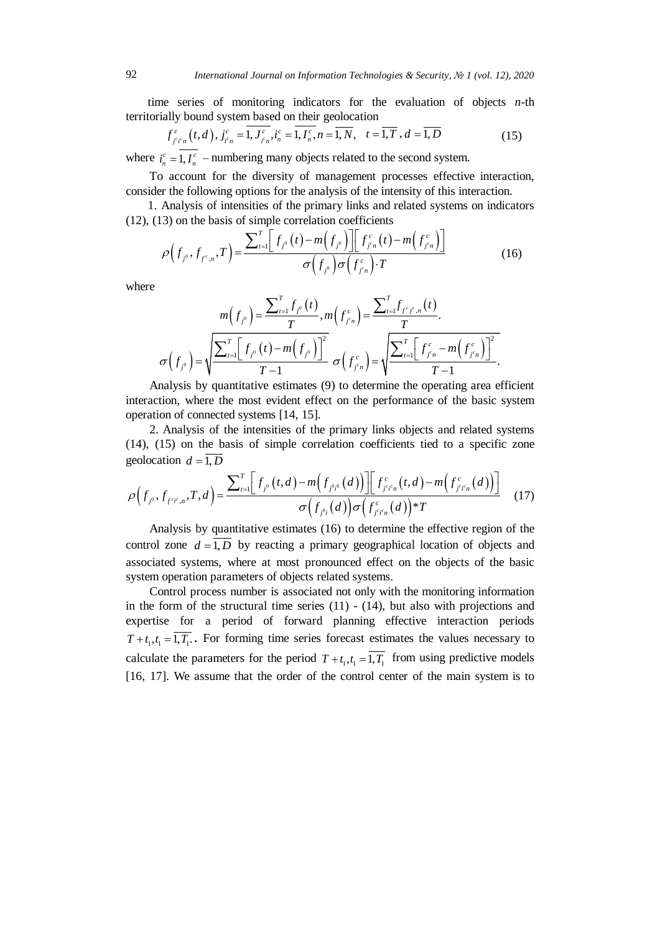time series of monitoring indicators for the evaluation of objects *n*-th territorially bound system based on their geolocation

$$
f_{j^c j^c n}^c(t, d), j_{j^c n}^c = \overline{1, J_{j^c n}^c}, i_n^c = \overline{1, I_n^c}, n = \overline{1, N}, t = \overline{1, T}, d = \overline{1, D}
$$
 (15)

where  $i_n^c = 1, I_n^c$  – numbering many objects related to the second system.

To account for the diversity of management processes effective interaction, consider the following options for the analysis of the intensity of this interaction.

1. Analysis of intensities of the primary links and related systems on indicators (12), (13) on the basis of simple correlation coefficients

$$
\rho(f_{j^0}, f_{f^c, n}, T) = \frac{\sum_{t=1}^{T} \left[ f_{j^0}(t) - m(f_{j^0}) \right] \left[ f_{j^c n}^c(t) - m(f_{j^c n}^c) \right]}{\sigma(f_{j^0}) \sigma(f_{j^c n}^c) \cdot T}
$$
(16)

where

$$
m(f_{j^0}) = \frac{\sum_{t=1}^T f_{j^0}(t)}{T}, m(f_{j^c n}^c) = \frac{\sum_{t=1}^T f_{f^c j^c, n}(t)}{T}.
$$

$$
\sigma(f_{j^0}) = \sqrt{\frac{\sum_{t=1}^T \Big[ f_{j^0}(t) - m(f_{j^0}) \Big]^2}{T-1}} \sigma(f_{j^c n}^c) = \sqrt{\frac{\sum_{t=1}^T \Big[ f_{j^c n}^c - m(f_{j^c n}^c) \Big]^2}{T-1}}.
$$

Analysis by quantitative estimates (9) to determine the operating area efficient interaction, where the most evident effect on the performance of the basic system operation of connected systems [14, 15].

2. Analysis of the intensities of the primary links objects and related systems (14), (15) on the basis of simple correlation coefficients tied to a specific zone geolocation  $d = \overline{1, D}$ 

$$
\rho(f_{j^0}, f_{f^{c}f^c,n}, T, d) = \frac{\sum_{t=1}^T \Big[ f_{j^0}(t, d) - m\Big(f_{j^0t^0}(d)\Big) \Big] \Big[ f_{f^{c}f^{c}n}(t, d) - m\Big(f_{f^{c}f^{c}n}(d)\Big) \Big]}{\sigma\Big(f_{j^0t}(d)\Big) \sigma\Big(f_{f^{c}f^{c}n}(d)\Big)^T T}
$$
(17)

Analysis by quantitative estimates (16) to determine the effective region of the control zone  $d = \overline{1, D}$  by reacting a primary geographical location of objects and associated systems, where at most pronounced effect on the objects of the basic system operation parameters of objects related systems.

Control process number is associated not only with the monitoring information in the form of the structural time series  $(11)$  -  $(14)$ , but also with projections and expertise for a period of forward planning effective interaction periods  $T+t_1, t_1 = \overline{1, T_1}$ . For forming time series forecast estimates the values necessary to calculate the parameters for the period  $T + t_1, t_1 = \overline{1, T_1}$  from using predictive models [16, 17]. We assume that the order of the control center of the main system is to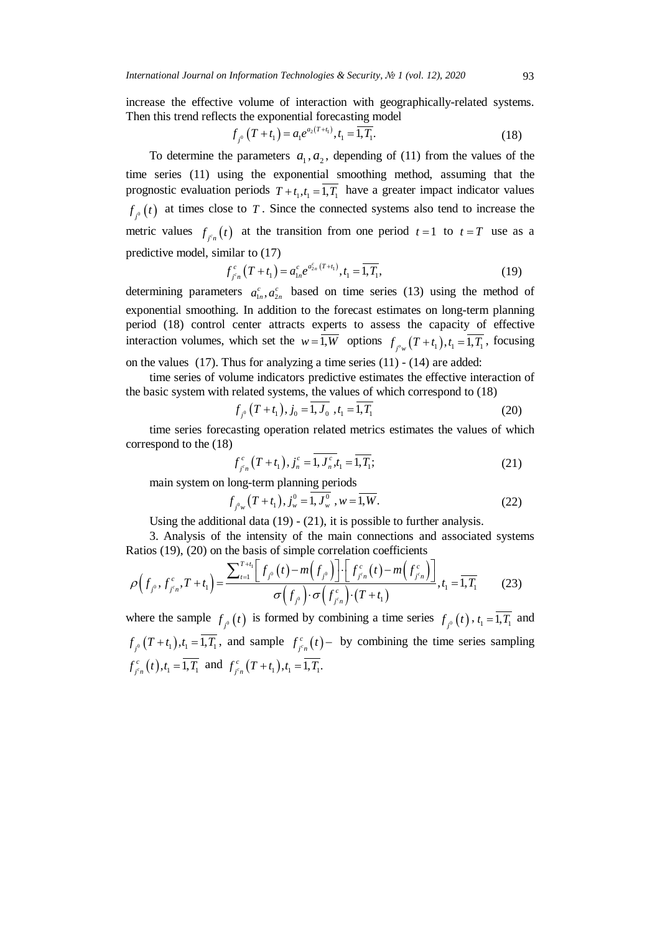increase the effective volume of interaction with geographically-related systems. Then this trend reflects the exponential forecasting model

$$
f_{j^0}(T+t_1) = a_1 e^{a_2(T+t_1)}, t_1 = \overline{1, T_1}.
$$
 (18)

To determine the parameters  $a_1, a_2$ , depending of (11) from the values of the time series (11) using the exponential smoothing method, assuming that the prognostic evaluation periods  $T + t_1, t_1 = \overline{1, T_1}$  have a greater impact indicator values  $f_{f,0}(t)$  at times close to *T*. Since the connected systems also tend to increase the metric values  $f_{f_n}(t)$  at the transition from one period  $t = 1$  to  $t = T$  use as a predictive model, similar to (17)

$$
f_{j^e n}^c(T+t_1) = a_{1n}^c e^{a_{2n}^c(T+t_1)}, t_1 = \overline{1, T_1},
$$
\n(19)

determining parameters  $a_{1n}^c$ ,  $a_{2n}^c$  based on time series (13) using the method of exponential smoothing. In addition to the forecast estimates on long-term planning period (18) control center attracts experts to assess the capacity of effective interaction volumes, which set the  $w = 1, W$  options  $f_{j^o w}(T + t_1), t_1 = 1, T_1$ , focusing on the values (17). Thus for analyzing a time series (11) - (14) are added:

time series of volume indicators predictive estimates the effective interaction of the basic system with related systems, the values of which correspond to (18)

$$
f_{j^0}(T+t_1), j_0 = \overline{1, J_0}, t_1 = \overline{1, T_1}
$$
 (20)

time series forecasting operation related metrics estimates the values of which correspond to the (18)

$$
f_{j^c n}^c(T+t_1), j_n^c = \overline{1, J_n^c, t_1} = \overline{1, T_1};
$$
\n(21)

main system on long-term planning periods

$$
f_{j^{0}w}(T+t_{1}), j_{w}^{0} = \overline{1, J_{w}^{0}}, w = \overline{1, W}.
$$
 (22)

Using the additional data  $(19)$  -  $(21)$ , it is possible to further analysis.

3. Analysis of the intensity of the main connections and associated systems Ratios (19), (20) on the basis of simple correlation coefficients

$$
\rho\Big(f_{j^0}, f_{j^c n}^c, T + t_1\Big) = \frac{\sum_{t=1}^{T+t_1} \Big[f_{j^0}(t) - m\Big(f_{j^0}\Big)\Big] \cdot \Big[f_{j^c n}^c(t) - m\Big(f_{j^c n}^c\Big)\Big]}{\sigma\Big(f_{j^0}\Big) \cdot \sigma\Big(f_{j^c n}^c\Big) \cdot (T + t_1)}, t_1 = \overline{1, T_1}
$$
(23)

where the sample  $f_{i^0}(t)$  is formed by combining a time series  $f_{i^0}(t)$ ,  $t_1 = \overline{1, T_1}$  and  $f_{f_i^o}(T+t_1), t_1 = 1, T_1$ , and sample  $f_{f_i^o}(t)$  by combining the time series sampling  $f_{j^c n}^c(t)$ ,  $t_1 = 1, T_1$  and  $f_{j^c n}^c(T + t_1)$ ,  $t_1 = 1, T_1$ .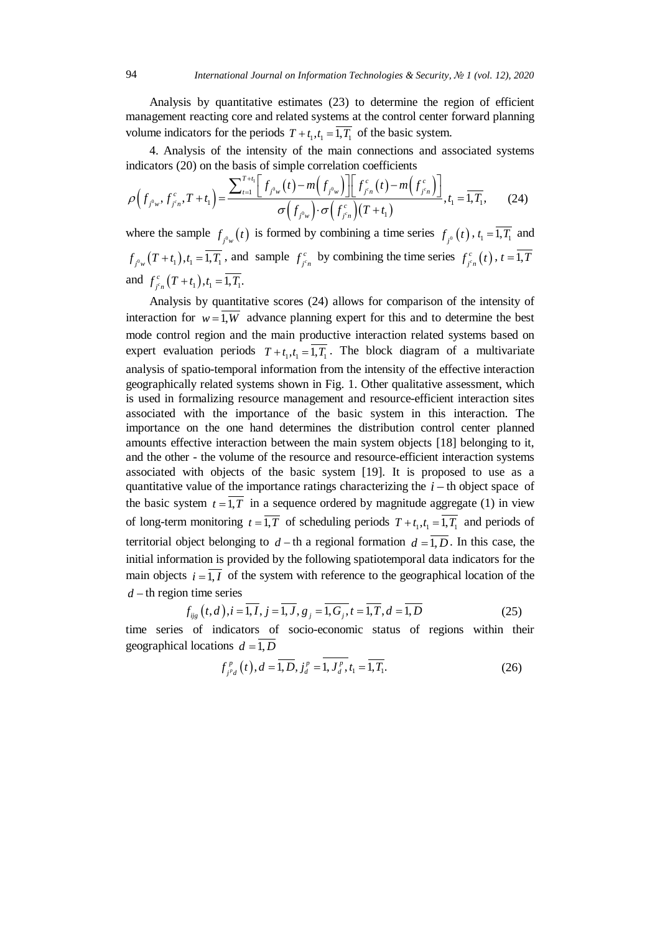Analysis by quantitative estimates (23) to determine the region of efficient management reacting core and related systems at the control center forward planning volume indicators for the periods  $T + t_1, t_1 = \overline{1, T_1}$  of the basic system.

4. Analysis of the intensity of the main connections and associated systems indicators (20) on the basis of simple correlation coefficients

$$
\rho\Big(f_{j^0w}, f_{j^c n}^c, T+t_1\Big) = \frac{\sum_{t=1}^{T+t_1} \Big[ f_{j^0w}(t) - m\Big(f_{j^0w}\Big) \Big] \Big[ f_{j^c n}^c(t) - m\Big(f_{j^c n}^c\Big) \Big]}{\sigma\Big(f_{j^0w}\Big) \cdot \sigma\Big(f_{j^c n}^c\Big) \Big(T+t_1\Big)}, t_1 = \overline{1, T_1}, \qquad (24)
$$

where the sample  $f_{j^0 w}(t)$  is formed by combining a time series  $f_{j^0}(t)$ ,  $t_1 = \overline{1, T_1}$  and  $f_{j^0 w}(T+t_1), t_1 = \overline{1, T_1}$ , and sample  $f_{j^c n}^c$  by combining the time series  $f_{j^c n}^c(t)$ ,  $t = 1, T_1$ and  $f_{j^c n}^c(T+t_1), t_1 = 1, T_1$ .

Analysis by quantitative scores (24) allows for comparison of the intensity of interaction for  $w = 1$ , W advance planning expert for this and to determine the best mode control region and the main productive interaction related systems based on expert evaluation periods  $T + t_1, t_1 = \overline{1, T_1}$ . The block diagram of a multivariate analysis of spatio-temporal information from the intensity of the effective interaction geographically related systems shown in Fig. 1. Other qualitative assessment, which is used in formalizing resource management and resource-efficient interaction sites associated with the importance of the basic system in this interaction. The importance on the one hand determines the distribution control center planned amounts effective interaction between the main system objects [18] belonging to it, and the other - the volume of the resource and resource-efficient interaction systems associated with objects of the basic system [19]. It is proposed to use as a quantitative value of the importance ratings characterizing the *i* − th object space of the basic system  $t = \overline{1, T}$  in a sequence ordered by magnitude aggregate (1) in view of long-term monitoring  $t = \overline{1, T}$  of scheduling periods  $T + t_1, t_1 = \overline{1, T_1}$  and periods of territorial object belonging to  $d - th$  a regional formation  $d = 1, D$ . In this case, the initial information is provided by the following spatiotemporal data indicators for the main objects  $i = \overline{1, I}$  of the system with reference to the geographical location of the *d* − th region time series

$$
f_{ijg}(t,d), i = \overline{1, I}, j = \overline{1, J}, g_j = \overline{1, G_j}, t = \overline{1, T}, d = \overline{1, D}
$$
\n(25)

time series of indicators of socio-economic status of regions within their geographical locations  $d = \overline{1, D}$ 

$$
f_{j^p d}^p(t), d = \overline{1, D}, j_d^p = \overline{1, J_d^p}, t_1 = \overline{1, T_1}.
$$
 (26)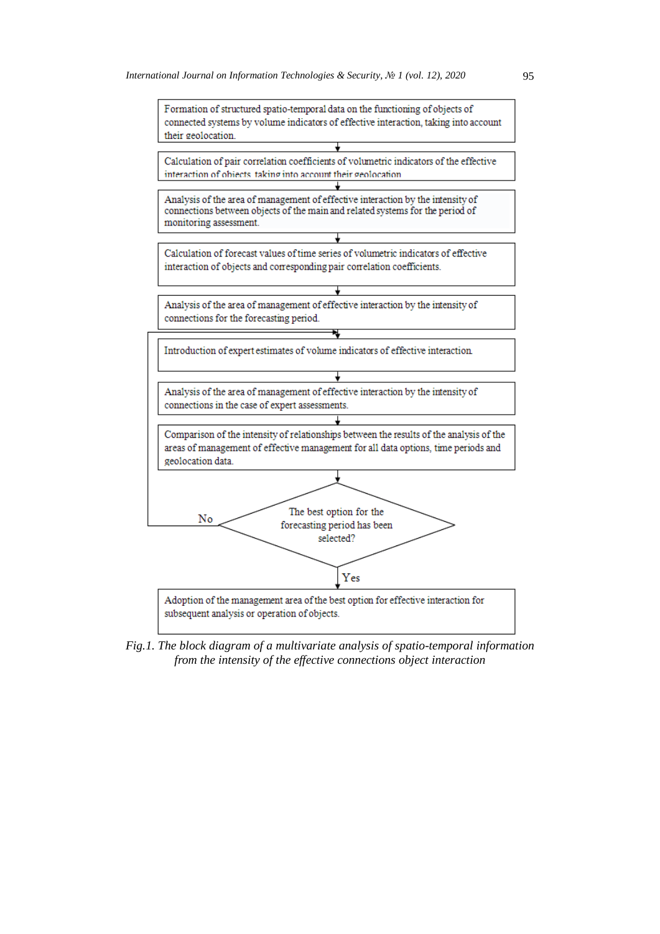

*Fig.1. The block diagram of a multivariate analysis of spatio-temporal information from the intensity of the effective connections object interaction*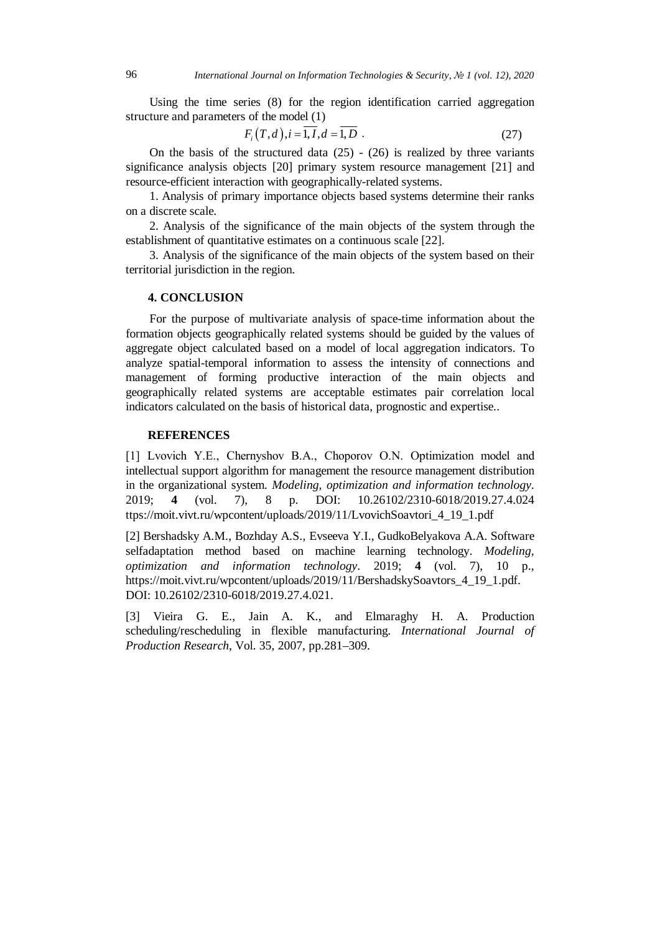Using the time series (8) for the region identification carried aggregation structure and parameters of the model (1)

$$
F_i(T,d), i = \overline{1, I}, d = \overline{1, D} \tag{27}
$$

On the basis of the structured data  $(25)$  -  $(26)$  is realized by three variants significance analysis objects [20] primary system resource management [21] and resource-efficient interaction with geographically-related systems.

1. Analysis of primary importance objects based systems determine their ranks on a discrete scale.

2. Analysis of the significance of the main objects of the system through the establishment of quantitative estimates on a continuous scale [22].

3. Analysis of the significance of the main objects of the system based on their territorial jurisdiction in the region.

#### **4. CONCLUSION**

For the purpose of multivariate analysis of space-time information about the formation objects geographically related systems should be guided by the values of aggregate object calculated based on a model of local aggregation indicators. To analyze spatial-temporal information to assess the intensity of connections and management of forming productive interaction of the main objects and geographically related systems are acceptable estimates pair correlation local indicators calculated on the basis of historical data, prognostic and expertise..

### **REFERENCES**

[1] Lvovich Y.E., Chernyshov B.A., Choporov O.N. Optimization model and intellectual support algorithm for management the resource management distribution in the organizational system. *Modeling, optimization and information technology*. 2019; **4** (vol. 7), 8 p. DOI: 10.26102/2310-6018/2019.27.4.024 ttps://moit.vivt.ru/wpcontent/uploads/2019/11/LvovichSoavtori\_4\_19\_1.pdf

[2] Bershadsky A.M., Bozhday A.S., Evseeva Y.I., GudkoBelyakova A.A. Software selfadaptation method based on machine learning technology. *Modeling, optimization and information technology*. 2019; **4** (vol. 7), 10 p., https://moit.vivt.ru/wpcontent/uploads/2019/11/BershadskySoavtors\_4\_19\_1.pdf. DOI: 10.26102/2310-6018/2019.27.4.021.

[3] Vieira G. E., Jain A. K., and Elmaraghy H. A. Production scheduling/rescheduling in flexible manufacturing. *International Journal of Production Research*, Vol. 35, 2007, pp.281–309.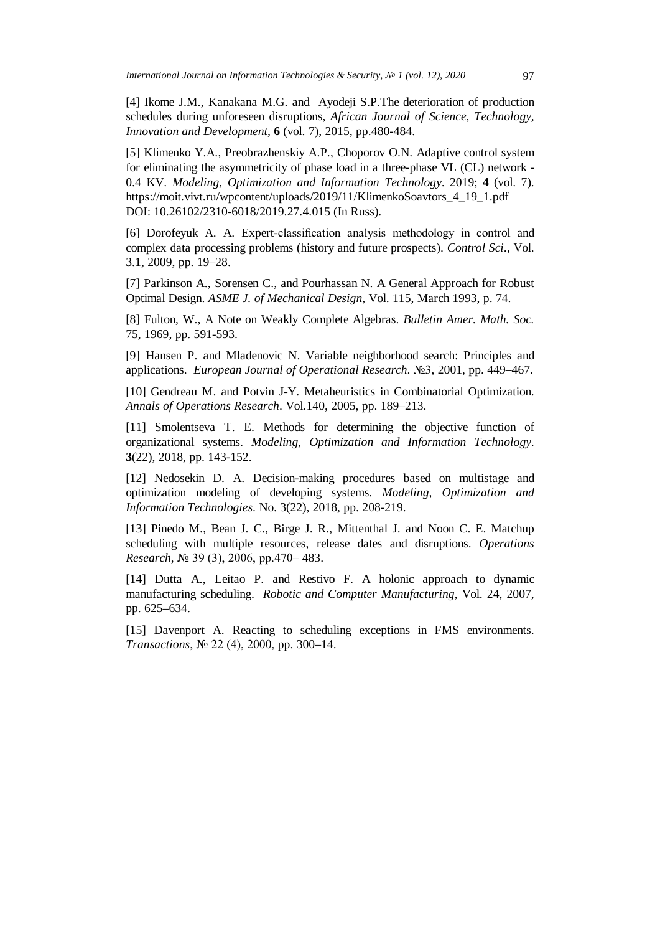[4] Ikome J.M., Kanakana M.G. and Ayodeji S.P.The deterioration of production schedules during unforeseen disruptions, *African Journal of Science, Technology, Innovation and Development*, **6** (vol. 7), 2015, pp.480-484.

[5] Klimenko Y.A., Preobrazhenskiy A.P., Choporov O.N. Adaptive control system for eliminating the asymmetricity of phase load in a three-phase VL (CL) network - 0.4 KV. *Modeling, Optimization and Information Technology*. 2019; **4** (vol. 7). https://moit.vivt.ru/wpcontent/uploads/2019/11/KlimenkoSoavtors\_4\_19\_1.pdf DOI: 10.26102/2310-6018/2019.27.4.015 (In Russ).

[6] Dorofeyuk A. A. Expert-classification analysis methodology in control and complex data processing problems (history and future prospects). *Control Sci*., Vol. 3.1, 2009, pp. 19–28.

[7] Parkinson A., Sorensen C., and Pourhassan N. A General Approach for Robust Optimal Design. *ASME J. of Mechanical Design*, Vol. 115, March 1993, p. 74.

[8] Fulton, W., A Note on Weakly Complete Algebras. *Bulletin Amer. Math. Soc.* 75, 1969, pp. 591-593.

[9] Hansen P. and Mladenovic N. Variable neighborhood search: Principles and applications. *European Journal of Operational Research*. №3, 2001, pp. 449–467.

[10] Gendreau M. and Potvin J-Y. Metaheuristics in Combinatorial Optimization. *Annals of Operations Research*. Vol.140, 2005, pp. 189–213.

[11] Smolentseva T. E. Methods for determining the objective function of organizational systems. *Modeling, Optimization and Information Technology*. **3**(22), 2018, pp. 143-152.

[12] Nedosekin D. A. Decision-making procedures based on multistage and optimization modeling of developing systems. *Modeling, Optimization and Information Technologies*. No. 3(22), 2018, pp. 208-219.

[13] Pinedo M., Bean J. C., Birge J. R., Mittenthal J. and Noon C. E. Matchup scheduling with multiple resources, release dates and disruptions. *Operations Research*, № 39 (3), 2006, pp.470– 483.

[14] Dutta A., Leitao P. and Restivo F. A holonic approach to dynamic manufacturing scheduling. *Robotic and Computer Manufacturing*, Vol. 24, 2007, pp. 625–634.

[15] Davenport A. Reacting to scheduling exceptions in FMS environments. *Transactions*, № 22 (4), 2000, pp. 300–14.